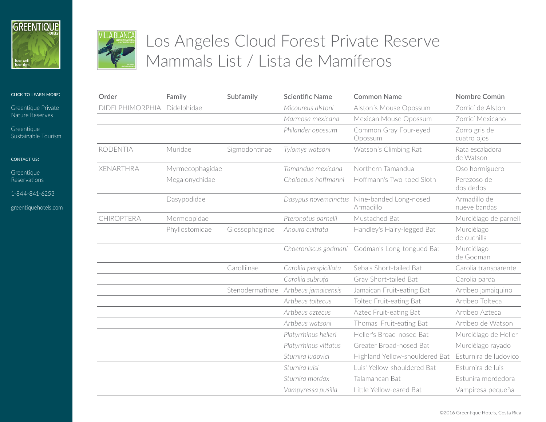



## Los Angeles Cloud Forest Private Reserve Mammals List / Lista de Mamíferos

## click to learn more:

[Greentique Private](http://greentiquehotels.com/nature-reserves)  [Nature Reserves](http://greentiquehotels.com/nature-reserves)

**Greentique** [Sustainable Tourism](http://greentiquehotels.com/sustainability)

contact us:

**Greentique** [Reserv](http://greentiquehotels.com/reservations)ations

1-844-841-6253

[greentiquehotels.com](http://greentiquehotels.com)

| Order             | Family          | Subfamily      | <b>Scientific Name</b>               | <b>Common Name</b>                                       | Nombre Común                 |
|-------------------|-----------------|----------------|--------------------------------------|----------------------------------------------------------|------------------------------|
| DIDELPHIMORPHIA   | Didelphidae     |                | Micoureus alstoni                    | Alston's Mouse Opossum                                   | Zorricí de Alston            |
|                   |                 |                | Marmosa mexicana                     | Mexican Mouse Opossum                                    | Zorricí Mexicano             |
|                   |                 |                | Philander opossum                    | Common Gray Four-eyed<br>Opossum                         | Zorro gris de<br>cuatro ojos |
| <b>RODENTIA</b>   | Muridae         | Sigmodontinae  | Tylomys watsoni                      | Watson's Climbing Rat                                    | Rata escaladora<br>de Watson |
| <b>XENARTHRA</b>  | Myrmecophagidae |                | Tamandua mexicana                    | Northern Tamandua                                        | Oso hormiguero               |
|                   | Megalonychidae  |                | Choloepus hoffmanni                  | Hoffmann's Two-toed Sloth                                | Perezoso de<br>dos dedos     |
|                   | Dasypodidae     |                |                                      | Dasypus novemcinctus Nine-banded Long-nosed<br>Armadillo | Armadillo de<br>nueve bandas |
| <b>CHIROPTERA</b> | Mormoopidae     |                | Pteronotus parnelli                  | Mustached Bat                                            | Murciélago de parnell        |
|                   | Phyllostomidae  | Glossophaginae | Anoura cultrata                      | Handley's Hairy-legged Bat                               | Murciélago<br>de cuchilla    |
|                   |                 |                |                                      | Choeroniscus godmani Godman's Long-tongued Bat           | Murciélago<br>de Godman      |
|                   |                 | Carolliinae    | Carollia perspicillata               | Seba's Short-tailed Bat                                  | Carolia transparente         |
|                   |                 |                | Carollia subrufa                     | Gray Short-tailed Bat                                    | Carolia parda                |
|                   |                 |                | Stenodermatinae Artibeus jamaicensis | Jamaican Fruit-eating Bat                                | Artibeo jamaiquino           |
|                   |                 |                | Artibeus toltecus                    | Toltec Fruit-eating Bat                                  | Artibeo Tolteca              |
|                   |                 |                | Artibeus aztecus                     | Aztec Fruit-eating Bat                                   | Artibeo Azteca               |
|                   |                 |                | Artibeus watsoni                     | Thomas' Fruit-eating Bat                                 | Artibeo de Watson            |
|                   |                 |                | Platyrrhinus helleri                 | Heller's Broad-nosed Bat                                 | Murciélago de Heller         |
|                   |                 |                | Platyrrhinus vittatus                | Greater Broad-nosed Bat                                  | Murciélago rayado            |
|                   |                 |                | Sturnira ludovici                    | Highland Yellow-shouldered Bat                           | Esturnira de Iudovico        |
|                   |                 |                | Sturnira luisi                       | Luis' Yellow-shouldered Bat                              | Esturnira de luis            |
|                   |                 |                | Sturnira mordax                      | Talamancan Bat                                           | Estunira mordedora           |
|                   |                 |                | Vampyressa pusilla                   | Little Yellow-eared Bat                                  | Vampiresa pequeña            |